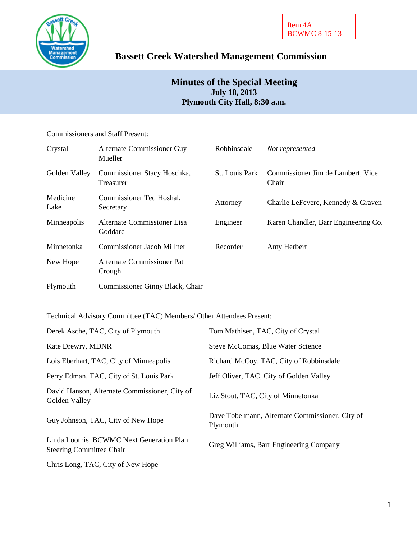

# **Bassett Creek Watershed Management Commission**

# **Minutes of the Special Meeting July 18, 2013 Plymouth City Hall, 8:30 a.m.**

Commissioners and Staff Present:

| Crystal          | Alternate Commissioner Guy<br>Mueller    | Robbinsdale    | Not represented                            |
|------------------|------------------------------------------|----------------|--------------------------------------------|
| Golden Valley    | Commissioner Stacy Hoschka,<br>Treasurer | St. Louis Park | Commissioner Jim de Lambert, Vice<br>Chair |
| Medicine<br>Lake | Commissioner Ted Hoshal,<br>Secretary    | Attorney       | Charlie LeFevere, Kennedy & Graven         |
| Minneapolis      | Alternate Commissioner Lisa<br>Goddard   | Engineer       | Karen Chandler, Barr Engineering Co.       |
| Minnetonka       | <b>Commissioner Jacob Millner</b>        | Recorder       | Amy Herbert                                |
| New Hope         | Alternate Commissioner Pat<br>Crough     |                |                                            |
| Plymouth         | Commissioner Ginny Black, Chair          |                |                                            |

Technical Advisory Committee (TAC) Members/ Other Attendees Present:

| Derek Asche, TAC, City of Plymouth                                          | Tom Mathisen, TAC, City of Crystal                          |
|-----------------------------------------------------------------------------|-------------------------------------------------------------|
| Kate Drewry, MDNR                                                           | Steve McComas, Blue Water Science                           |
| Lois Eberhart, TAC, City of Minneapolis                                     | Richard McCoy, TAC, City of Robbinsdale                     |
| Perry Edman, TAC, City of St. Louis Park                                    | Jeff Oliver, TAC, City of Golden Valley                     |
| David Hanson, Alternate Commissioner, City of<br>Golden Valley              | Liz Stout, TAC, City of Minnetonka                          |
| Guy Johnson, TAC, City of New Hope                                          | Dave Tobelmann, Alternate Commissioner, City of<br>Plymouth |
| Linda Loomis, BCWMC Next Generation Plan<br><b>Steering Committee Chair</b> | Greg Williams, Barr Engineering Company                     |
| Chris Long, TAC, City of New Hope                                           |                                                             |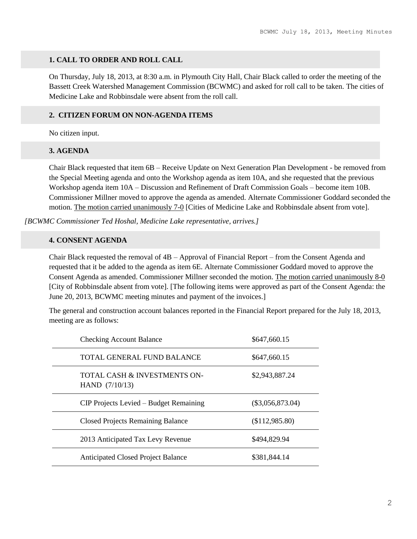#### **1. CALL TO ORDER AND ROLL CALL**

On Thursday, July 18, 2013, at 8:30 a.m. in Plymouth City Hall, Chair Black called to order the meeting of the Bassett Creek Watershed Management Commission (BCWMC) and asked for roll call to be taken. The cities of Medicine Lake and Robbinsdale were absent from the roll call.

#### **2. CITIZEN FORUM ON NON-AGENDA ITEMS**

No citizen input.

#### **3. AGENDA**

Chair Black requested that item 6B – Receive Update on Next Generation Plan Development - be removed from the Special Meeting agenda and onto the Workshop agenda as item 10A, and she requested that the previous Workshop agenda item 10A – Discussion and Refinement of Draft Commission Goals – become item 10B. Commissioner Millner moved to approve the agenda as amended. Alternate Commissioner Goddard seconded the motion. The motion carried unanimously 7-0 [Cities of Medicine Lake and Robbinsdale absent from vote].

*[BCWMC Commissioner Ted Hoshal, Medicine Lake representative, arrives.]*

## **4. CONSENT AGENDA**

Chair Black requested the removal of 4B – Approval of Financial Report – from the Consent Agenda and requested that it be added to the agenda as item 6E. Alternate Commissioner Goddard moved to approve the Consent Agenda as amended. Commissioner Millner seconded the motion. The motion carried unanimously 8-0 [City of Robbinsdale absent from vote]. [The following items were approved as part of the Consent Agenda: the June 20, 2013, BCWMC meeting minutes and payment of the invoices.]

The general and construction account balances reported in the Financial Report prepared for the July 18, 2013, meeting are as follows:

| <b>Checking Account Balance</b>                  | \$647,660.15       |
|--------------------------------------------------|--------------------|
| TOTAL GENERAL FUND BALANCE                       | \$647,660.15       |
| TOTAL CASH & INVESTMENTS ON-<br>HAND $(7/10/13)$ | \$2,943,887.24     |
| CIP Projects Levied – Budget Remaining           | $(\$3,056,873.04)$ |
| <b>Closed Projects Remaining Balance</b>         | (\$112,985.80)     |
| 2013 Anticipated Tax Levy Revenue                | \$494,829.94       |
| <b>Anticipated Closed Project Balance</b>        | \$381,844.14       |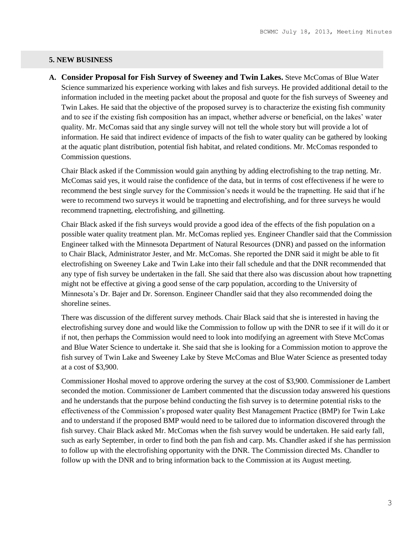#### **5. NEW BUSINESS**

**A. Consider Proposal for Fish Survey of Sweeney and Twin Lakes.** Steve McComas of Blue Water Science summarized his experience working with lakes and fish surveys. He provided additional detail to the information included in the meeting packet about the proposal and quote for the fish surveys of Sweeney and Twin Lakes. He said that the objective of the proposed survey is to characterize the existing fish community and to see if the existing fish composition has an impact, whether adverse or beneficial, on the lakes' water quality. Mr. McComas said that any single survey will not tell the whole story but will provide a lot of information. He said that indirect evidence of impacts of the fish to water quality can be gathered by looking at the aquatic plant distribution, potential fish habitat, and related conditions. Mr. McComas responded to Commission questions.

Chair Black asked if the Commission would gain anything by adding electrofishing to the trap netting. Mr. McComas said yes, it would raise the confidence of the data, but in terms of cost effectiveness if he were to recommend the best single survey for the Commission's needs it would be the trapnetting. He said that if he were to recommend two surveys it would be trapnetting and electrofishing, and for three surveys he would recommend trapnetting, electrofishing, and gillnetting.

Chair Black asked if the fish surveys would provide a good idea of the effects of the fish population on a possible water quality treatment plan. Mr. McComas replied yes. Engineer Chandler said that the Commission Engineer talked with the Minnesota Department of Natural Resources (DNR) and passed on the information to Chair Black, Administrator Jester, and Mr. McComas. She reported the DNR said it might be able to fit electrofishing on Sweeney Lake and Twin Lake into their fall schedule and that the DNR recommended that any type of fish survey be undertaken in the fall. She said that there also was discussion about how trapnetting might not be effective at giving a good sense of the carp population, according to the University of Minnesota's Dr. Bajer and Dr. Sorenson. Engineer Chandler said that they also recommended doing the shoreline seines.

There was discussion of the different survey methods. Chair Black said that she is interested in having the electrofishing survey done and would like the Commission to follow up with the DNR to see if it will do it or if not, then perhaps the Commission would need to look into modifying an agreement with Steve McComas and Blue Water Science to undertake it. She said that she is looking for a Commission motion to approve the fish survey of Twin Lake and Sweeney Lake by Steve McComas and Blue Water Science as presented today at a cost of \$3,900.

Commissioner Hoshal moved to approve ordering the survey at the cost of \$3,900. Commissioner de Lambert seconded the motion. Commissioner de Lambert commented that the discussion today answered his questions and he understands that the purpose behind conducting the fish survey is to determine potential risks to the effectiveness of the Commission's proposed water quality Best Management Practice (BMP) for Twin Lake and to understand if the proposed BMP would need to be tailored due to information discovered through the fish survey. Chair Black asked Mr. McComas when the fish survey would be undertaken. He said early fall, such as early September, in order to find both the pan fish and carp. Ms. Chandler asked if she has permission to follow up with the electrofishing opportunity with the DNR. The Commission directed Ms. Chandler to follow up with the DNR and to bring information back to the Commission at its August meeting.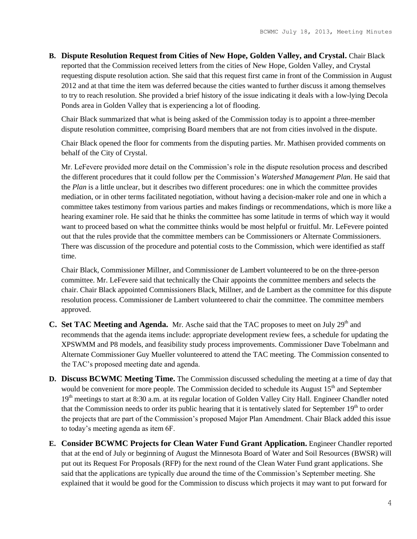**B. Dispute Resolution Request from Cities of New Hope, Golden Valley, and Crystal.** Chair Black reported that the Commission received letters from the cities of New Hope, Golden Valley, and Crystal requesting dispute resolution action. She said that this request first came in front of the Commission in August 2012 and at that time the item was deferred because the cities wanted to further discuss it among themselves to try to reach resolution. She provided a brief history of the issue indicating it deals with a low-lying Decola Ponds area in Golden Valley that is experiencing a lot of flooding.

Chair Black summarized that what is being asked of the Commission today is to appoint a three-member dispute resolution committee, comprising Board members that are not from cities involved in the dispute.

Chair Black opened the floor for comments from the disputing parties. Mr. Mathisen provided comments on behalf of the City of Crystal.

Mr. LeFevere provided more detail on the Commission's role in the dispute resolution process and described the different procedures that it could follow per the Commission's *Watershed Management Plan*. He said that the *Plan* is a little unclear, but it describes two different procedures: one in which the committee provides mediation, or in other terms facilitated negotiation, without having a decision-maker role and one in which a committee takes testimony from various parties and makes findings or recommendations, which is more like a hearing examiner role. He said that he thinks the committee has some latitude in terms of which way it would want to proceed based on what the committee thinks would be most helpful or fruitful. Mr. LeFevere pointed out that the rules provide that the committee members can be Commissioners or Alternate Commissioners. There was discussion of the procedure and potential costs to the Commission, which were identified as staff time.

Chair Black, Commissioner Millner, and Commissioner de Lambert volunteered to be on the three-person committee. Mr. LeFevere said that technically the Chair appoints the committee members and selects the chair. Chair Black appointed Commissioners Black, Millner, and de Lambert as the committee for this dispute resolution process. Commissioner de Lambert volunteered to chair the committee. The committee members approved.

- **C.** Set TAC Meeting and Agenda. Mr. Asche said that the TAC proposes to meet on July 29<sup>th</sup> and recommends that the agenda items include: appropriate development review fees, a schedule for updating the XPSWMM and P8 models, and feasibility study process improvements. Commissioner Dave Tobelmann and Alternate Commissioner Guy Mueller volunteered to attend the TAC meeting. The Commission consented to the TAC's proposed meeting date and agenda.
- **D. Discuss BCWMC Meeting Time.** The Commission discussed scheduling the meeting at a time of day that would be convenient for more people. The Commission decided to schedule its August 15<sup>th</sup> and September 19<sup>th</sup> meetings to start at 8:30 a.m. at its regular location of Golden Valley City Hall. Engineer Chandler noted that the Commission needs to order its public hearing that it is tentatively slated for September  $19<sup>th</sup>$  to order the projects that are part of the Commission's proposed Major Plan Amendment. Chair Black added this issue to today's meeting agenda as item 6F.
- **E. Consider BCWMC Projects for Clean Water Fund Grant Application.** Engineer Chandler reported that at the end of July or beginning of August the Minnesota Board of Water and Soil Resources (BWSR) will put out its Request For Proposals (RFP) for the next round of the Clean Water Fund grant applications. She said that the applications are typically due around the time of the Commission's September meeting. She explained that it would be good for the Commission to discuss which projects it may want to put forward for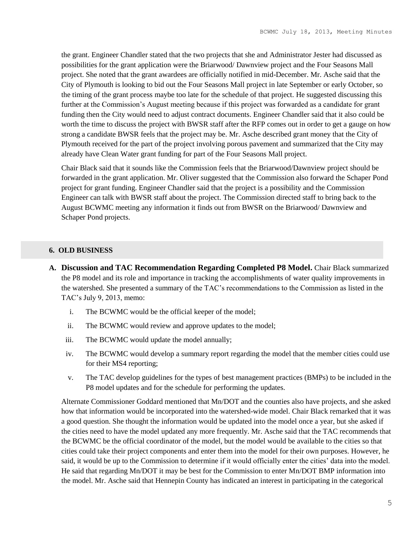the grant. Engineer Chandler stated that the two projects that she and Administrator Jester had discussed as possibilities for the grant application were the Briarwood/ Dawnview project and the Four Seasons Mall project. She noted that the grant awardees are officially notified in mid-December. Mr. Asche said that the City of Plymouth is looking to bid out the Four Seasons Mall project in late September or early October, so the timing of the grant process maybe too late for the schedule of that project. He suggested discussing this further at the Commission's August meeting because if this project was forwarded as a candidate for grant funding then the City would need to adjust contract documents. Engineer Chandler said that it also could be worth the time to discuss the project with BWSR staff after the RFP comes out in order to get a gauge on how strong a candidate BWSR feels that the project may be. Mr. Asche described grant money that the City of Plymouth received for the part of the project involving porous pavement and summarized that the City may already have Clean Water grant funding for part of the Four Seasons Mall project.

Chair Black said that it sounds like the Commission feels that the Briarwood/Dawnview project should be forwarded in the grant application. Mr. Oliver suggested that the Commission also forward the Schaper Pond project for grant funding. Engineer Chandler said that the project is a possibility and the Commission Engineer can talk with BWSR staff about the project. The Commission directed staff to bring back to the August BCWMC meeting any information it finds out from BWSR on the Briarwood/ Dawnview and Schaper Pond projects.

#### **6. OLD BUSINESS**

- **A. Discussion and TAC Recommendation Regarding Completed P8 Model.** Chair Black summarized the P8 model and its role and importance in tracking the accomplishments of water quality improvements in the watershed. She presented a summary of the TAC's recommendations to the Commission as listed in the TAC's July 9, 2013, memo:
	- i. The BCWMC would be the official keeper of the model;
	- ii. The BCWMC would review and approve updates to the model;
	- iii. The BCWMC would update the model annually;
	- iv. The BCWMC would develop a summary report regarding the model that the member cities could use for their MS4 reporting;
	- v. The TAC develop guidelines for the types of best management practices (BMPs) to be included in the P8 model updates and for the schedule for performing the updates.

Alternate Commissioner Goddard mentioned that Mn/DOT and the counties also have projects, and she asked how that information would be incorporated into the watershed-wide model. Chair Black remarked that it was a good question. She thought the information would be updated into the model once a year, but she asked if the cities need to have the model updated any more frequently. Mr. Asche said that the TAC recommends that the BCWMC be the official coordinator of the model, but the model would be available to the cities so that cities could take their project components and enter them into the model for their own purposes. However, he said, it would be up to the Commission to determine if it would officially enter the cities' data into the model. He said that regarding Mn/DOT it may be best for the Commission to enter Mn/DOT BMP information into the model. Mr. Asche said that Hennepin County has indicated an interest in participating in the categorical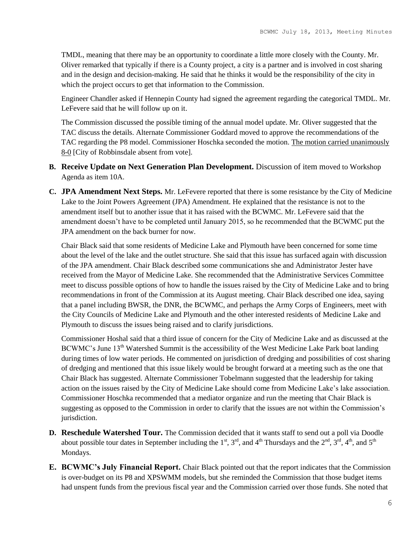TMDL, meaning that there may be an opportunity to coordinate a little more closely with the County. Mr. Oliver remarked that typically if there is a County project, a city is a partner and is involved in cost sharing and in the design and decision-making. He said that he thinks it would be the responsibility of the city in which the project occurs to get that information to the Commission.

Engineer Chandler asked if Hennepin County had signed the agreement regarding the categorical TMDL. Mr. LeFevere said that he will follow up on it.

The Commission discussed the possible timing of the annual model update. Mr. Oliver suggested that the TAC discuss the details. Alternate Commissioner Goddard moved to approve the recommendations of the TAC regarding the P8 model. Commissioner Hoschka seconded the motion. The motion carried unanimously 8-0 [City of Robbinsdale absent from vote].

- **B. Receive Update on Next Generation Plan Development.** Discussion of item moved to Workshop Agenda as item 10A.
- **C. JPA Amendment Next Steps.** Mr. LeFevere reported that there is some resistance by the City of Medicine Lake to the Joint Powers Agreement (JPA) Amendment. He explained that the resistance is not to the amendment itself but to another issue that it has raised with the BCWMC. Mr. LeFevere said that the amendment doesn't have to be completed until January 2015, so he recommended that the BCWMC put the JPA amendment on the back burner for now.

Chair Black said that some residents of Medicine Lake and Plymouth have been concerned for some time about the level of the lake and the outlet structure. She said that this issue has surfaced again with discussion of the JPA amendment. Chair Black described some communications she and Administrator Jester have received from the Mayor of Medicine Lake. She recommended that the Administrative Services Committee meet to discuss possible options of how to handle the issues raised by the City of Medicine Lake and to bring recommendations in front of the Commission at its August meeting. Chair Black described one idea, saying that a panel including BWSR, the DNR, the BCWMC, and perhaps the Army Corps of Engineers, meet with the City Councils of Medicine Lake and Plymouth and the other interested residents of Medicine Lake and Plymouth to discuss the issues being raised and to clarify jurisdictions.

Commissioner Hoshal said that a third issue of concern for the City of Medicine Lake and as discussed at the BCWMC's June 13<sup>th</sup> Watershed Summit is the accessibility of the West Medicine Lake Park boat landing during times of low water periods. He commented on jurisdiction of dredging and possibilities of cost sharing of dredging and mentioned that this issue likely would be brought forward at a meeting such as the one that Chair Black has suggested. Alternate Commissioner Tobelmann suggested that the leadership for taking action on the issues raised by the City of Medicine Lake should come from Medicine Lake's lake association. Commissioner Hoschka recommended that a mediator organize and run the meeting that Chair Black is suggesting as opposed to the Commission in order to clarify that the issues are not within the Commission's jurisdiction.

- **D. Reschedule Watershed Tour.** The Commission decided that it wants staff to send out a poll via Doodle about possible tour dates in September including the  $1<sup>st</sup>$ ,  $3<sup>rd</sup>$ , and  $4<sup>th</sup>$  Thursdays and the  $2<sup>nd</sup>$ ,  $3<sup>rd</sup>$ ,  $4<sup>th</sup>$ , and  $5<sup>th</sup>$ Mondays.
- **E. BCWMC's July Financial Report.** Chair Black pointed out that the report indicates that the Commission is over-budget on its P8 and XPSWMM models, but she reminded the Commission that those budget items had unspent funds from the previous fiscal year and the Commission carried over those funds. She noted that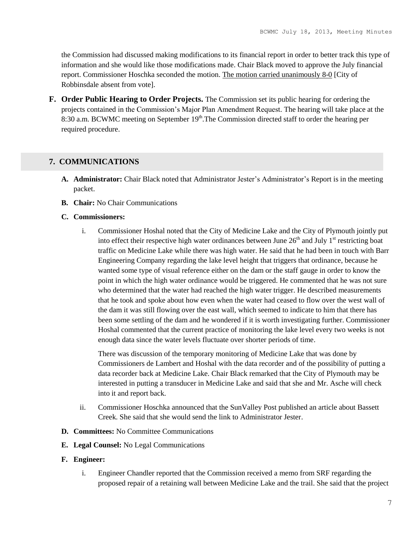the Commission had discussed making modifications to its financial report in order to better track this type of information and she would like those modifications made. Chair Black moved to approve the July financial report. Commissioner Hoschka seconded the motion. The motion carried unanimously 8-0 [City of Robbinsdale absent from vote].

**F. Order Public Hearing to Order Projects.** The Commission set its public hearing for ordering the projects contained in the Commission's Major Plan Amendment Request. The hearing will take place at the 8:30 a.m. BCWMC meeting on September  $19<sup>th</sup>$ . The Commission directed staff to order the hearing per required procedure.

# **7. COMMUNICATIONS**

- **A. Administrator:** Chair Black noted that Administrator Jester's Administrator's Report is in the meeting packet.
- **B. Chair:** No Chair Communications

### **C. Commissioners:**

i. Commissioner Hoshal noted that the City of Medicine Lake and the City of Plymouth jointly put into effect their respective high water ordinances between June  $26<sup>th</sup>$  and July 1<sup>st</sup> restricting boat traffic on Medicine Lake while there was high water. He said that he had been in touch with Barr Engineering Company regarding the lake level height that triggers that ordinance, because he wanted some type of visual reference either on the dam or the staff gauge in order to know the point in which the high water ordinance would be triggered. He commented that he was not sure who determined that the water had reached the high water trigger. He described measurements that he took and spoke about how even when the water had ceased to flow over the west wall of the dam it was still flowing over the east wall, which seemed to indicate to him that there has been some settling of the dam and he wondered if it is worth investigating further. Commissioner Hoshal commented that the current practice of monitoring the lake level every two weeks is not enough data since the water levels fluctuate over shorter periods of time.

There was discussion of the temporary monitoring of Medicine Lake that was done by Commissioners de Lambert and Hoshal with the data recorder and of the possibility of putting a data recorder back at Medicine Lake. Chair Black remarked that the City of Plymouth may be interested in putting a transducer in Medicine Lake and said that she and Mr. Asche will check into it and report back.

- ii. Commissioner Hoschka announced that the SunValley Post published an article about Bassett Creek. She said that she would send the link to Administrator Jester.
- **D. Committees:** No Committee Communications
- **E. Legal Counsel:** No Legal Communications
- **F. Engineer:**
	- i. Engineer Chandler reported that the Commission received a memo from SRF regarding the proposed repair of a retaining wall between Medicine Lake and the trail. She said that the project